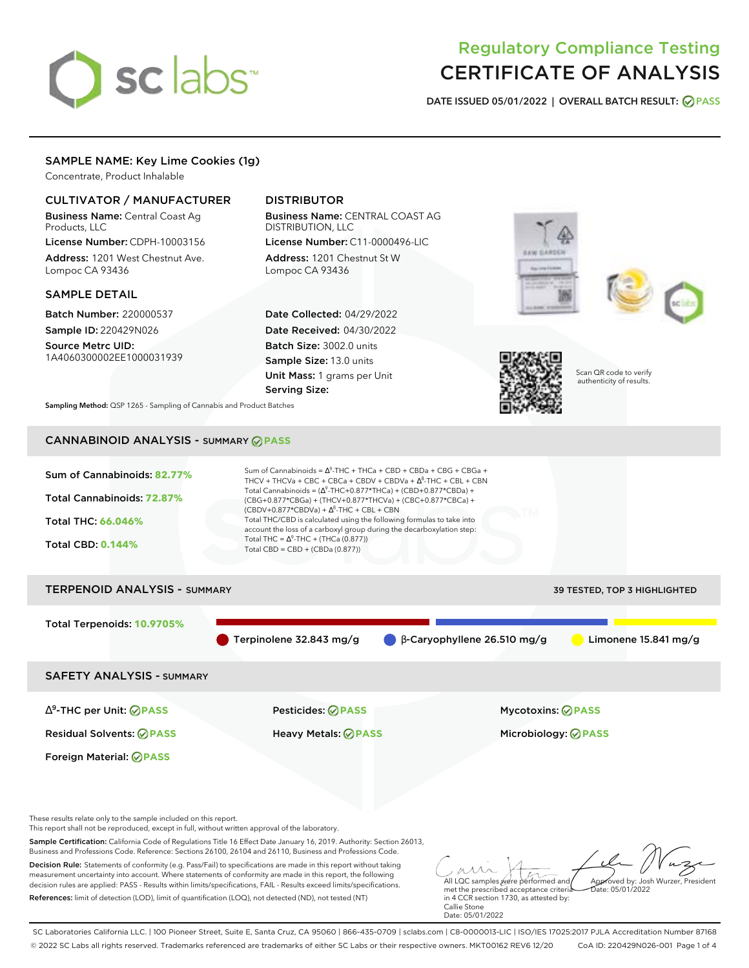# sclabs<sup>\*</sup>

# Regulatory Compliance Testing CERTIFICATE OF ANALYSIS

**DATE ISSUED 05/01/2022 | OVERALL BATCH RESULT: PASS**

# SAMPLE NAME: Key Lime Cookies (1g)

Concentrate, Product Inhalable

# CULTIVATOR / MANUFACTURER

Business Name: Central Coast Ag Products, LLC

License Number: CDPH-10003156 Address: 1201 West Chestnut Ave. Lompoc CA 93436

# SAMPLE DETAIL

Batch Number: 220000537 Sample ID: 220429N026

Source Metrc UID: 1A4060300002EE1000031939

# DISTRIBUTOR

Business Name: CENTRAL COAST AG DISTRIBUTION, LLC License Number: C11-0000496-LIC

Address: 1201 Chestnut St W Lompoc CA 93436

Date Collected: 04/29/2022 Date Received: 04/30/2022 Batch Size: 3002.0 units Sample Size: 13.0 units Unit Mass: 1 grams per Unit Serving Size:







Scan QR code to verify authenticity of results.

**Sampling Method:** QSP 1265 - Sampling of Cannabis and Product Batches

# CANNABINOID ANALYSIS - SUMMARY **PASS**



Terpinolene 32.843 mg/g β-Caryophyllene 26.510 mg/g Limonene 15.841 mg/g

SAFETY ANALYSIS - SUMMARY

∆ 9 -THC per Unit: **PASS** Pesticides: **PASS** Mycotoxins: **PASS**

Foreign Material: **PASS**

Residual Solvents: **PASS** Heavy Metals: **PASS** Microbiology: **PASS**

These results relate only to the sample included on this report.

This report shall not be reproduced, except in full, without written approval of the laboratory.

Sample Certification: California Code of Regulations Title 16 Effect Date January 16, 2019. Authority: Section 26013, Business and Professions Code. Reference: Sections 26100, 26104 and 26110, Business and Professions Code.

Decision Rule: Statements of conformity (e.g. Pass/Fail) to specifications are made in this report without taking measurement uncertainty into account. Where statements of conformity are made in this report, the following decision rules are applied: PASS - Results within limits/specifications, FAIL - Results exceed limits/specifications. References: limit of detection (LOD), limit of quantification (LOQ), not detected (ND), not tested (NT)

All LQC samples were performed and met the prescribed acceptance criteria Approved by: Josh Wurzer, President  $hat: 05/01/2022$ 

in 4 CCR section 1730, as attested by: Callie Stone Date: 05/01/2022

SC Laboratories California LLC. | 100 Pioneer Street, Suite E, Santa Cruz, CA 95060 | 866-435-0709 | sclabs.com | C8-0000013-LIC | ISO/IES 17025:2017 PJLA Accreditation Number 87168 © 2022 SC Labs all rights reserved. Trademarks referenced are trademarks of either SC Labs or their respective owners. MKT00162 REV6 12/20 CoA ID: 220429N026-001 Page 1 of 4